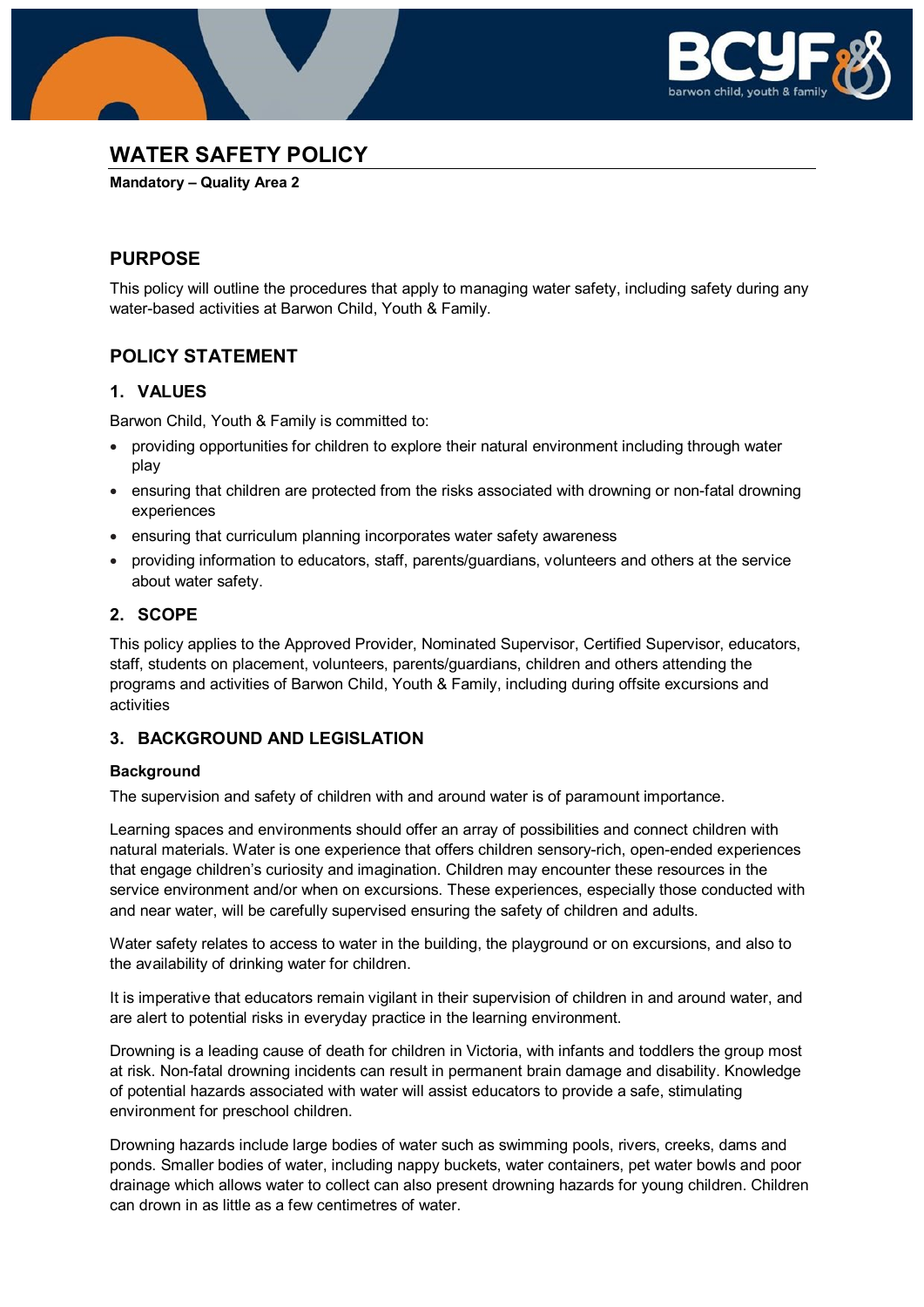



# **WATER SAFETY POLICY**

**Mandatory – Quality Area 2**

## **PURPOSE**

This policy will outline the procedures that apply to managing water safety, including safety during any water-based activities at Barwon Child, Youth & Family.

## **POLICY STATEMENT**

## **1. VALUES**

Barwon Child, Youth & Family is committed to:

- providing opportunities for children to explore their natural environment including through water play
- ensuring that children are protected from the risks associated with drowning or non-fatal drowning experiences
- ensuring that curriculum planning incorporates water safety awareness
- providing information to educators, staff, parents/guardians, volunteers and others at the service about water safety.

## **2. SCOPE**

This policy applies to the Approved Provider, Nominated Supervisor, Certified Supervisor, educators, staff, students on placement, volunteers, parents/guardians, children and others attending the programs and activities of Barwon Child, Youth & Family, including during offsite excursions and activities

## **3. BACKGROUND AND LEGISLATION**

### **Background**

The supervision and safety of children with and around water is of paramount importance.

Learning spaces and environments should offer an array of possibilities and connect children with natural materials. Water is one experience that offers children sensory-rich, open-ended experiences that engage children's curiosity and imagination. Children may encounter these resources in the service environment and/or when on excursions. These experiences, especially those conducted with and near water, will be carefully supervised ensuring the safety of children and adults.

Water safety relates to access to water in the building, the playground or on excursions, and also to the availability of drinking water for children.

It is imperative that educators remain vigilant in their supervision of children in and around water, and are alert to potential risks in everyday practice in the learning environment.

Drowning is a leading cause of death for children in Victoria, with infants and toddlers the group most at risk. Non-fatal drowning incidents can result in permanent brain damage and disability. Knowledge of potential hazards associated with water will assist educators to provide a safe, stimulating environment for preschool children.

Drowning hazards include large bodies of water such as swimming pools, rivers, creeks, dams and ponds. Smaller bodies of water, including nappy buckets, water containers, pet water bowls and poor drainage which allows water to collect can also present drowning hazards for young children. Children can drown in as little as a few centimetres of water.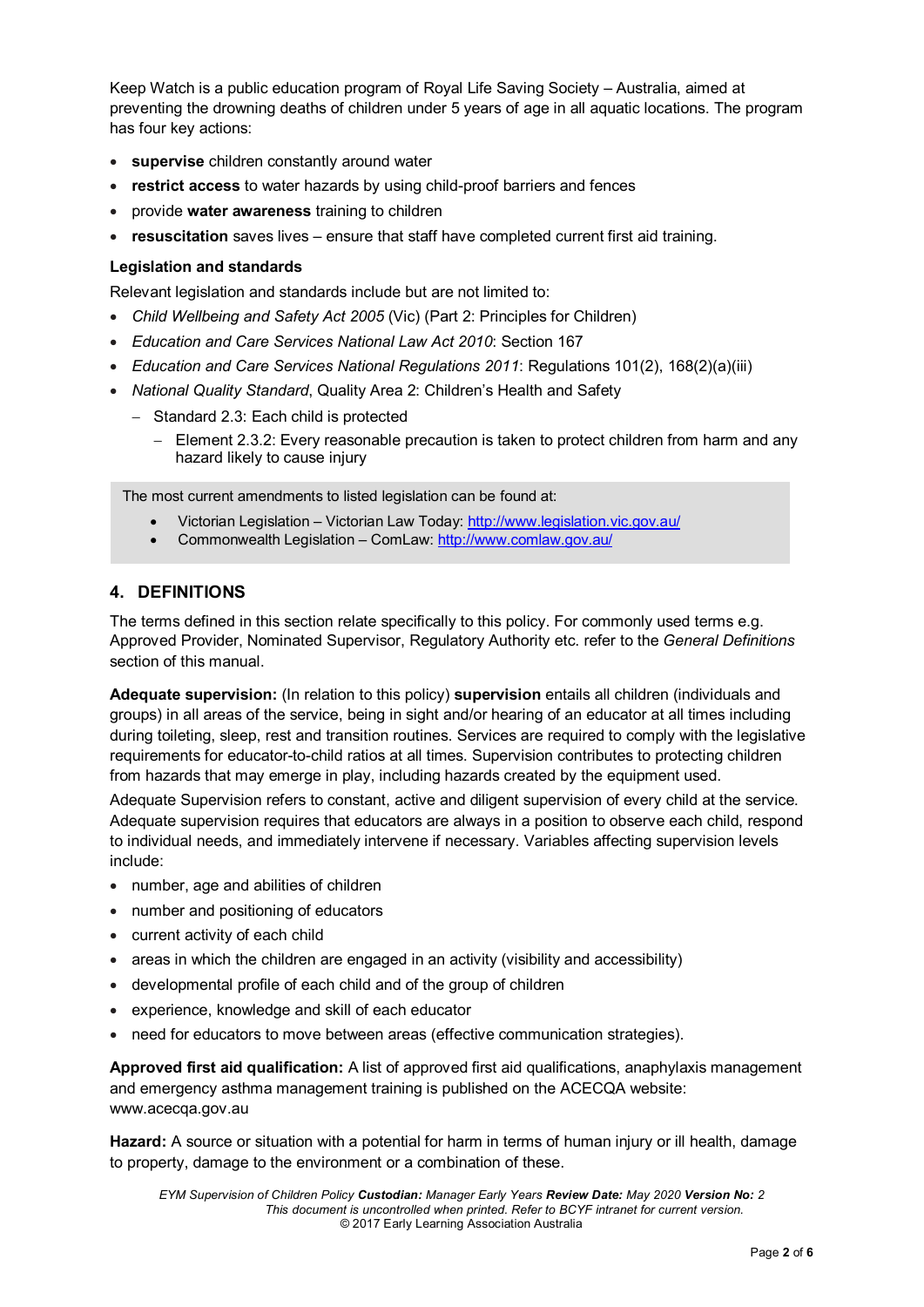Keep Watch is a public education program of Royal Life Saving Society – Australia, aimed at preventing the drowning deaths of children under 5 years of age in all aquatic locations. The program has four key actions:

- **supervise** children constantly around water
- **restrict access** to water hazards by using child-proof barriers and fences
- provide **water awareness** training to children
- **resuscitation** saves lives ensure that staff have completed current first aid training.

#### **Legislation and standards**

Relevant legislation and standards include but are not limited to:

- *Child Wellbeing and Safety Act 2005* (Vic) (Part 2: Principles for Children)
- *Education and Care Services National Law Act 2010*: Section 167
- *Education and Care Services National Regulations 2011*: Regulations 101(2), 168(2)(a)(iii)
- *National Quality Standard*, Quality Area 2: Children's Health and Safety
	- − Standard 2.3: Each child is protected
		- − Element 2.3.2: Every reasonable precaution is taken to protect children from harm and any hazard likely to cause injury

The most current amendments to listed legislation can be found at:

- Victorian Legislation Victorian Law Today:<http://www.legislation.vic.gov.au/>
- Commonwealth Legislation ComLaw:<http://www.comlaw.gov.au/>

## **4. DEFINITIONS**

The terms defined in this section relate specifically to this policy. For commonly used terms e.g. Approved Provider, Nominated Supervisor, Regulatory Authority etc. refer to the *General Definitions* section of this manual.

**Adequate supervision:** (In relation to this policy) **supervision** entails all children (individuals and groups) in all areas of the service, being in sight and/or hearing of an educator at all times including during toileting, sleep, rest and transition routines. Services are required to comply with the legislative requirements for educator-to-child ratios at all times. Supervision contributes to protecting children from hazards that may emerge in play, including hazards created by the equipment used.

Adequate Supervision refers to constant, active and diligent supervision of every child at the service. Adequate supervision requires that educators are always in a position to observe each child, respond to individual needs, and immediately intervene if necessary. Variables affecting supervision levels include:

- number, age and abilities of children
- number and positioning of educators
- current activity of each child
- areas in which the children are engaged in an activity (visibility and accessibility)
- developmental profile of each child and of the group of children
- experience, knowledge and skill of each educator
- need for educators to move between areas (effective communication strategies).

**Approved first aid qualification:** A list of approved first aid qualifications, anaphylaxis management and emergency asthma management training is published on the ACECQA website: www.acecqa.gov.au

**Hazard:** A source or situation with a potential for harm in terms of human injury or ill health, damage to property, damage to the environment or a combination of these.

*EYM Supervision of Children Policy Custodian: Manager Early Years Review Date: May 2020 Version No: 2 This document is uncontrolled when printed. Refer to BCYF intranet for current version.* © 2017 Early Learning Association Australia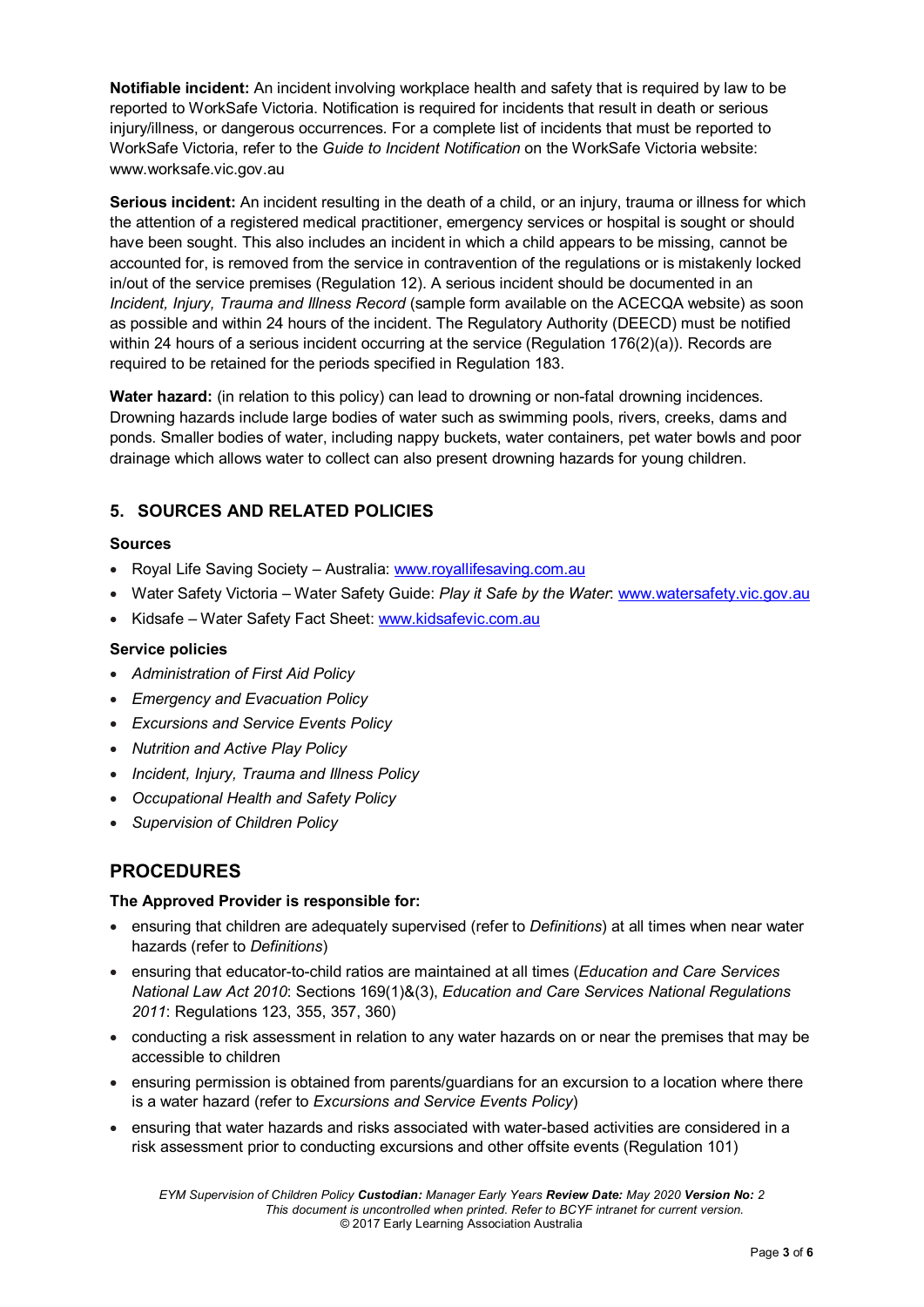**Notifiable incident:** An incident involving workplace health and safety that is required by law to be reported to WorkSafe Victoria. Notification is required for incidents that result in death or serious injury/illness, or dangerous occurrences. For a complete list of incidents that must be reported to WorkSafe Victoria, refer to the *Guide to Incident Notification* on the WorkSafe Victoria website: www.worksafe.vic.gov.au

**Serious incident:** An incident resulting in the death of a child, or an injury, trauma or illness for which the attention of a registered medical practitioner, emergency services or hospital is sought or should have been sought. This also includes an incident in which a child appears to be missing, cannot be accounted for, is removed from the service in contravention of the regulations or is mistakenly locked in/out of the service premises (Regulation 12). A serious incident should be documented in an *Incident, Injury, Trauma and Illness Record* (sample form available on the ACECQA website) as soon as possible and within 24 hours of the incident. The Regulatory Authority (DEECD) must be notified within 24 hours of a serious incident occurring at the service (Regulation 176(2)(a)). Records are required to be retained for the periods specified in Regulation 183.

**Water hazard:** (in relation to this policy) can lead to drowning or non-fatal drowning incidences. Drowning hazards include large bodies of water such as swimming pools, rivers, creeks, dams and ponds. Smaller bodies of water, including nappy buckets, water containers, pet water bowls and poor drainage which allows water to collect can also present drowning hazards for young children.

## **5. SOURCES AND RELATED POLICIES**

### **Sources**

- Royal Life Saving Society Australia: [www.royallifesaving.com.au](http://www.royallifesaving.com.au/)
- Water Safety Victoria Water Safety Guide: *Play it Safe by the Water*: [www.watersafety.vic.gov.au](http://www.watersafety.vic.gov.au/)
- Kidsafe Water Safety Fact Sheet: [www.kidsafevic.com.au](http://www.kidsafevic.com.au/)

### **Service policies**

- *Administration of First Aid Policy*
- *Emergency and Evacuation Policy*
- *Excursions and Service Events Policy*
- *Nutrition and Active Play Policy*
- *Incident, Injury, Trauma and Illness Policy*
- *Occupational Health and Safety Policy*
- *Supervision of Children Policy*

## **PROCEDURES**

### **The Approved Provider is responsible for:**

- ensuring that children are adequately supervised (refer to *Definitions*) at all times when near water hazards (refer to *Definitions*)
- ensuring that educator-to-child ratios are maintained at all times (*Education and Care Services National Law Act 2010*: Sections 169(1)&(3), *Education and Care Services National Regulations 2011*: Regulations 123, 355, 357, 360)
- conducting a risk assessment in relation to any water hazards on or near the premises that may be accessible to children
- ensuring permission is obtained from parents/guardians for an excursion to a location where there is a water hazard (refer to *Excursions and Service Events Policy*)
- ensuring that water hazards and risks associated with water-based activities are considered in a risk assessment prior to conducting excursions and other offsite events (Regulation 101)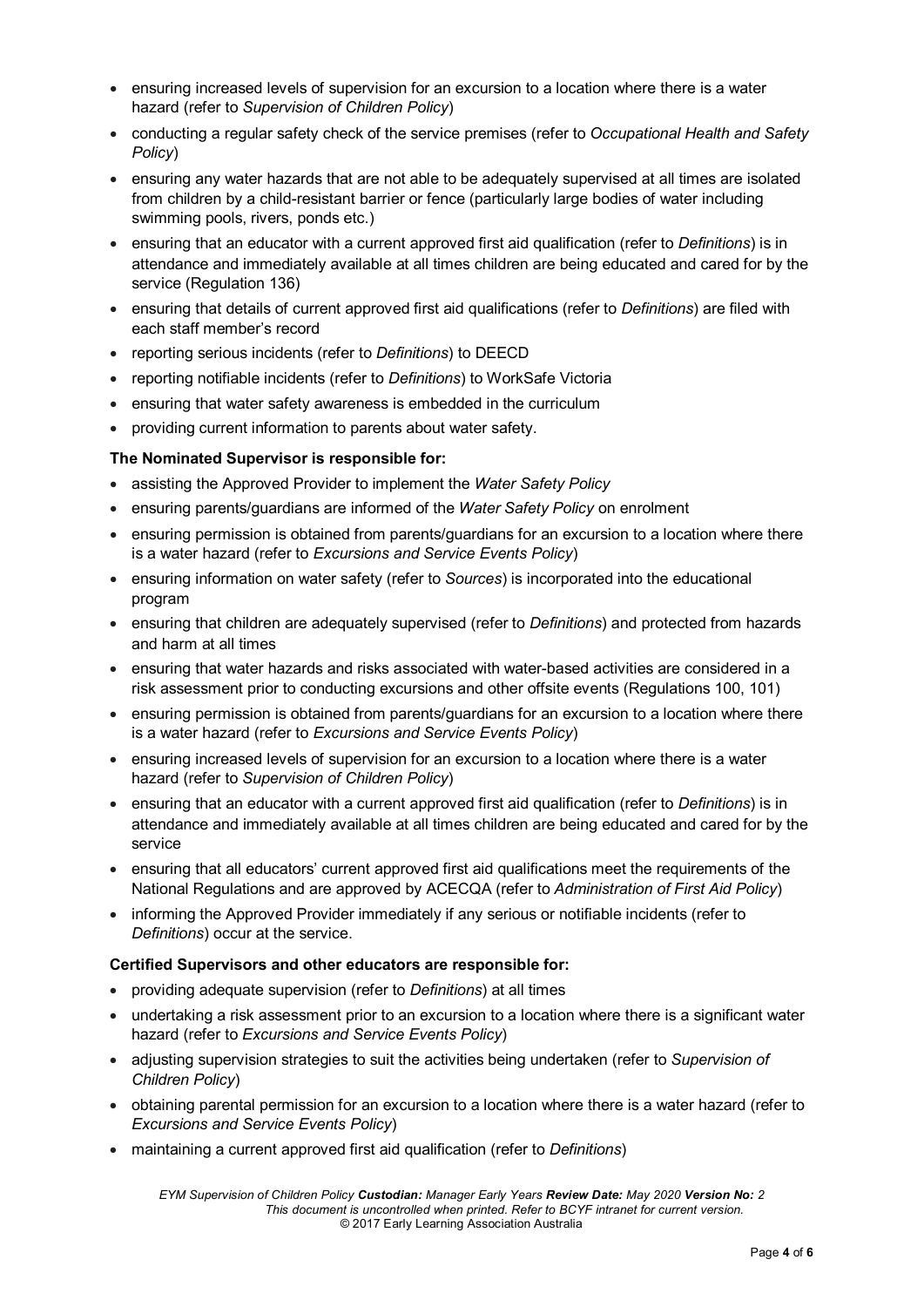- ensuring increased levels of supervision for an excursion to a location where there is a water hazard (refer to *Supervision of Children Policy*)
- conducting a regular safety check of the service premises (refer to *Occupational Health and Safety Policy*)
- ensuring any water hazards that are not able to be adequately supervised at all times are isolated from children by a child-resistant barrier or fence (particularly large bodies of water including swimming pools, rivers, ponds etc.)
- ensuring that an educator with a current approved first aid qualification (refer to *Definitions*) is in attendance and immediately available at all times children are being educated and cared for by the service (Regulation 136)
- ensuring that details of current approved first aid qualifications (refer to *Definitions*) are filed with each staff member's record
- reporting serious incidents (refer to *Definitions*) to DEECD
- reporting notifiable incidents (refer to *Definitions*) to WorkSafe Victoria
- ensuring that water safety awareness is embedded in the curriculum
- providing current information to parents about water safety.

#### **The Nominated Supervisor is responsible for:**

- assisting the Approved Provider to implement the *Water Safety Policy*
- ensuring parents/guardians are informed of the *Water Safety Policy* on enrolment
- ensuring permission is obtained from parents/guardians for an excursion to a location where there is a water hazard (refer to *Excursions and Service Events Policy*)
- ensuring information on water safety (refer to *Sources*) is incorporated into the educational program
- ensuring that children are adequately supervised (refer to *Definitions*) and protected from hazards and harm at all times
- ensuring that water hazards and risks associated with water-based activities are considered in a risk assessment prior to conducting excursions and other offsite events (Regulations 100, 101)
- ensuring permission is obtained from parents/guardians for an excursion to a location where there is a water hazard (refer to *Excursions and Service Events Policy*)
- ensuring increased levels of supervision for an excursion to a location where there is a water hazard (refer to *Supervision of Children Policy*)
- ensuring that an educator with a current approved first aid qualification (refer to *Definitions*) is in attendance and immediately available at all times children are being educated and cared for by the service
- ensuring that all educators' current approved first aid qualifications meet the requirements of the National Regulations and are approved by ACECQA (refer to *Administration of First Aid Policy*)
- informing the Approved Provider immediately if any serious or notifiable incidents (refer to *Definitions*) occur at the service.

#### **Certified Supervisors and other educators are responsible for:**

- providing adequate supervision (refer to *Definitions*) at all times
- undertaking a risk assessment prior to an excursion to a location where there is a significant water hazard (refer to *Excursions and Service Events Policy*)
- adjusting supervision strategies to suit the activities being undertaken (refer to *Supervision of Children Policy*)
- obtaining parental permission for an excursion to a location where there is a water hazard (refer to *Excursions and Service Events Policy*)
- maintaining a current approved first aid qualification (refer to *Definitions*)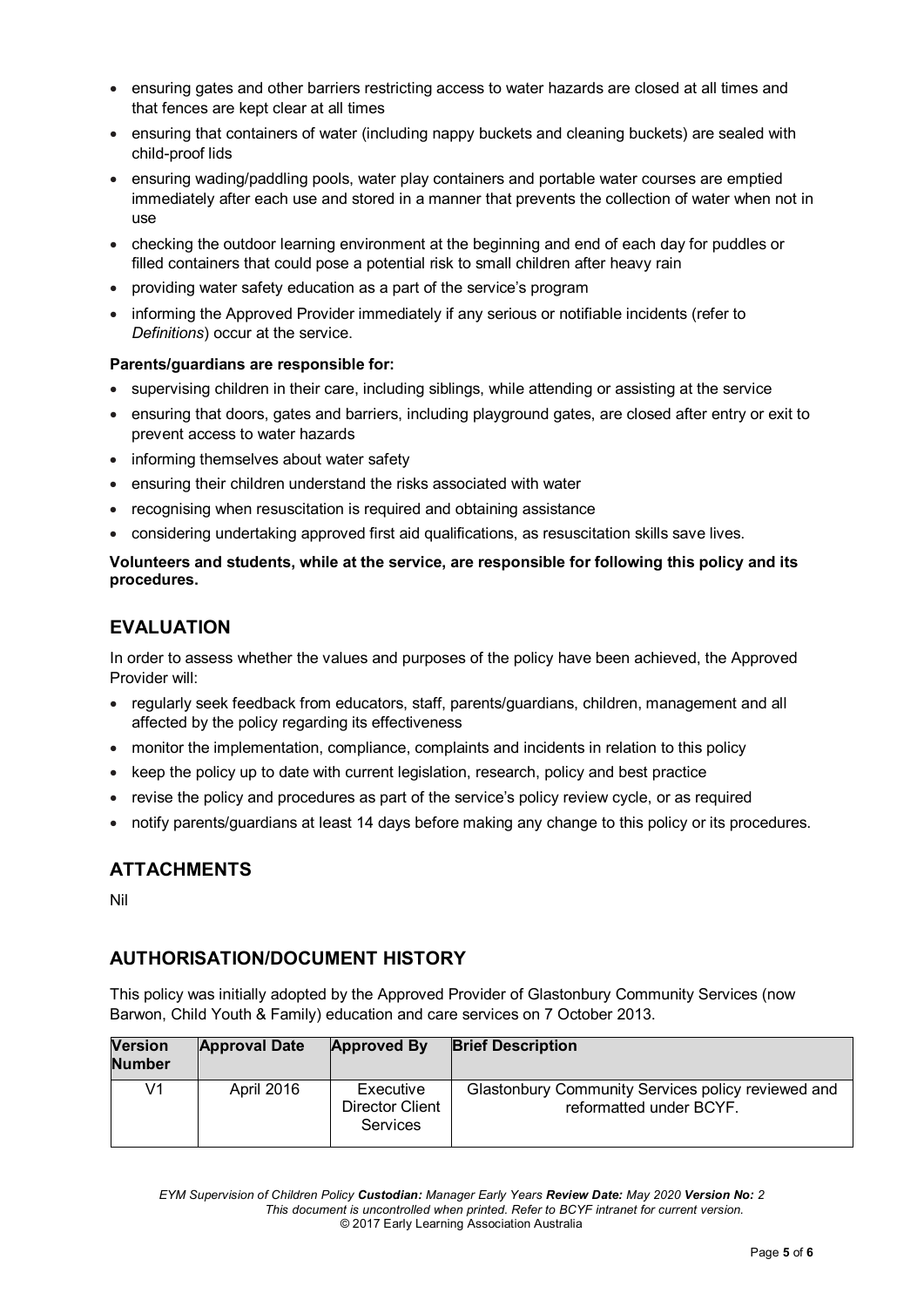- ensuring gates and other barriers restricting access to water hazards are closed at all times and that fences are kept clear at all times
- ensuring that containers of water (including nappy buckets and cleaning buckets) are sealed with child-proof lids
- ensuring wading/paddling pools, water play containers and portable water courses are emptied immediately after each use and stored in a manner that prevents the collection of water when not in use
- checking the outdoor learning environment at the beginning and end of each day for puddles or filled containers that could pose a potential risk to small children after heavy rain
- providing water safety education as a part of the service's program
- informing the Approved Provider immediately if any serious or notifiable incidents (refer to *Definitions*) occur at the service.

#### **Parents/guardians are responsible for:**

- supervising children in their care, including siblings, while attending or assisting at the service
- ensuring that doors, gates and barriers, including playground gates, are closed after entry or exit to prevent access to water hazards
- informing themselves about water safety
- ensuring their children understand the risks associated with water
- recognising when resuscitation is required and obtaining assistance
- considering undertaking approved first aid qualifications, as resuscitation skills save lives.

#### **Volunteers and students, while at the service, are responsible for following this policy and its procedures.**

## **EVALUATION**

In order to assess whether the values and purposes of the policy have been achieved, the Approved Provider will:

- regularly seek feedback from educators, staff, parents/guardians, children, management and all affected by the policy regarding its effectiveness
- monitor the implementation, compliance, complaints and incidents in relation to this policy
- keep the policy up to date with current legislation, research, policy and best practice
- revise the policy and procedures as part of the service's policy review cycle, or as required
- notify parents/guardians at least 14 days before making any change to this policy or its procedures.

## **ATTACHMENTS**

Nil

## **AUTHORISATION/DOCUMENT HISTORY**

This policy was initially adopted by the Approved Provider of Glastonbury Community Services (now Barwon, Child Youth & Family) education and care services on 7 October 2013.

| <b>Version</b><br><b>Number</b> | <b>Approval Date</b> | <b>Approved By</b>                                     | <b>Brief Description</b>                                                      |
|---------------------------------|----------------------|--------------------------------------------------------|-------------------------------------------------------------------------------|
| V1                              | April 2016           | Executive<br><b>Director Client</b><br><b>Services</b> | Glastonbury Community Services policy reviewed and<br>reformatted under BCYF. |